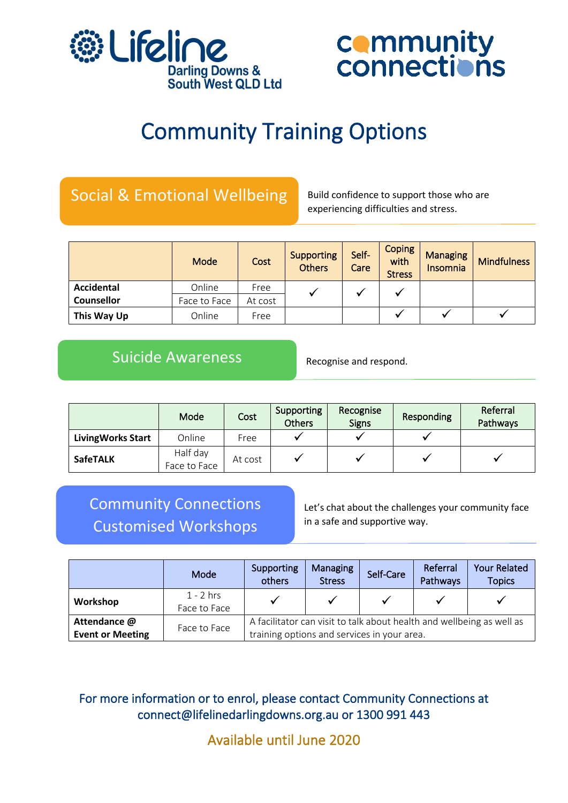



# Community Training Options

# Social & Emotional Wellbeing

Build confidence to support those who are experiencing difficulties and stress.

|                   | Mode         | Cost    | <b>Supporting</b><br><b>Others</b> | Self-<br>Care | <b>Coping</b><br>with<br><b>Stress</b> | <b>Managing</b><br><b>Insomnia</b> | <b>Mindfulness</b> |
|-------------------|--------------|---------|------------------------------------|---------------|----------------------------------------|------------------------------------|--------------------|
| Accidental        | Online       | Free    |                                    |               |                                        |                                    |                    |
| <b>Counsellor</b> | Face to Face | At cost |                                    |               |                                        |                                    |                    |
| This Way Up       | Online       | Free    |                                    |               |                                        |                                    |                    |

# Suicide Awareness

Recognise and respond.

|                          | Mode                     | Cost    | Supporting<br><b>Others</b> | Recognise<br><b>Signs</b> | Responding | Referral<br>Pathways |
|--------------------------|--------------------------|---------|-----------------------------|---------------------------|------------|----------------------|
| <b>LivingWorks Start</b> | Online                   | Free    |                             |                           |            |                      |
| <b>SafeTALK</b>          | Half day<br>Face to Face | At cost |                             |                           |            |                      |

# Community Connections Customised Workshops

Let's chat about the challenges your community face in a safe and supportive way.

|                         | Mode                        | Supporting<br>others                                                  | <b>Managing</b><br><b>Stress</b> | Self-Care | Referral<br>Pathways | <b>Your Related</b><br><b>Topics</b> |  |  |
|-------------------------|-----------------------------|-----------------------------------------------------------------------|----------------------------------|-----------|----------------------|--------------------------------------|--|--|
| Workshop                | $1 - 2$ hrs<br>Face to Face |                                                                       |                                  |           |                      |                                      |  |  |
| Attendance @            | Face to Face                | A facilitator can visit to talk about health and wellbeing as well as |                                  |           |                      |                                      |  |  |
| <b>Event or Meeting</b> |                             | training options and services in your area.                           |                                  |           |                      |                                      |  |  |

# For more information or to enrol, please contact Community Connections at connect@lifelinedarlingdowns.org.au or 1300 991 443

Available until June 2020